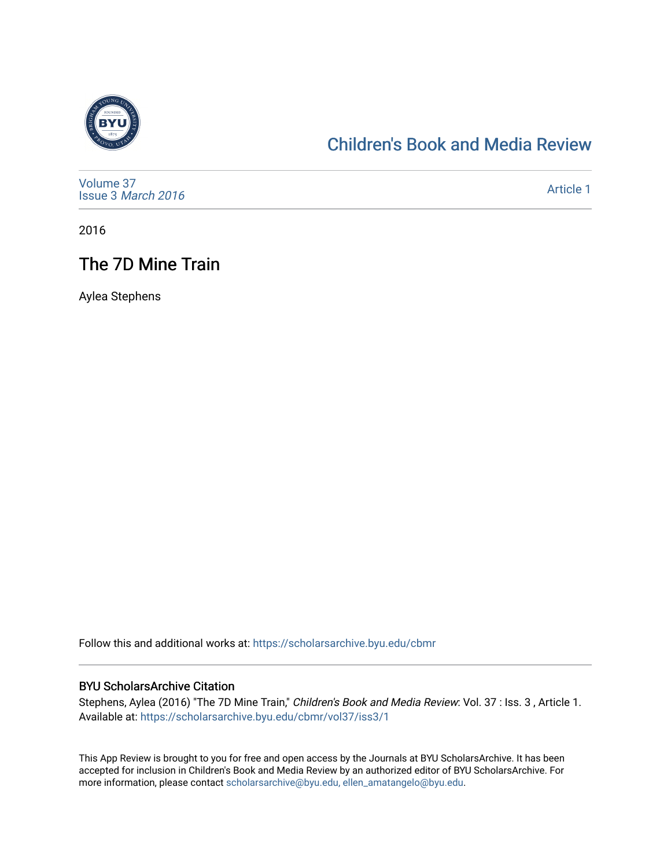

### [Children's Book and Media Review](https://scholarsarchive.byu.edu/cbmr)

| Volume 37<br>Issue 3 March 2016 | Article 1 |
|---------------------------------|-----------|
|---------------------------------|-----------|

2016

## The 7D Mine Train

Aylea Stephens

Follow this and additional works at: [https://scholarsarchive.byu.edu/cbmr](https://scholarsarchive.byu.edu/cbmr?utm_source=scholarsarchive.byu.edu%2Fcbmr%2Fvol37%2Fiss3%2F1&utm_medium=PDF&utm_campaign=PDFCoverPages) 

#### BYU ScholarsArchive Citation

Stephens, Aylea (2016) "The 7D Mine Train," Children's Book and Media Review: Vol. 37 : Iss. 3 , Article 1. Available at: [https://scholarsarchive.byu.edu/cbmr/vol37/iss3/1](https://scholarsarchive.byu.edu/cbmr/vol37/iss3/1?utm_source=scholarsarchive.byu.edu%2Fcbmr%2Fvol37%2Fiss3%2F1&utm_medium=PDF&utm_campaign=PDFCoverPages) 

This App Review is brought to you for free and open access by the Journals at BYU ScholarsArchive. It has been accepted for inclusion in Children's Book and Media Review by an authorized editor of BYU ScholarsArchive. For more information, please contact [scholarsarchive@byu.edu, ellen\\_amatangelo@byu.edu.](mailto:scholarsarchive@byu.edu,%20ellen_amatangelo@byu.edu)